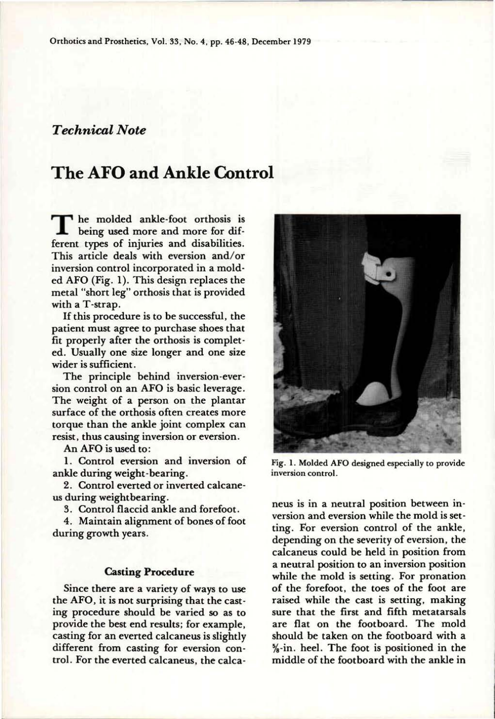## *Technical Note*

# **The AFO and Ankle Control**

**T** he molded ankle-foot orthosis is being used more and more for different types of injuries and disabilities. This article deals with eversion and/or inversion control incorporated in a molded AFO (Fig. 1). This design replaces the metal "short leg" orthosis that is provided with a T-strap.

If this procedure is to be successful, the patient must agree to purchase shoes that fit properly after the orthosis is completed. Usually one size longer and one size wider is sufficient.

The principle behind inversion-eversion control on an AFO is basic leverage. The weight of a person on the plantar surface of the orthosis often creates more torque than the ankle joint complex can resist, thus causing inversion or eversion.

An AFO is used to:

**1.** Control eversion and inversion of ankle during weight-bearing.

2. Control everted or inverted calcaneus during weightbearing.

3. Control flaccid ankle and forefoot.

4. Maintain alignment of bones of foot during growth years.

#### **Casting Procedure**

Since there are a variety of ways to use the AFO, it is not surprising that the casting procedure should be varied so as to provide the best end results; for example, casting for an everted calcaneus is slightly different from casting for eversion control. For the everted calcaneus, the calca-



**Fig. 1. Molded AFO designed especially to provide inversion control.** 

neus is in a neutral position between inversion and eversion while the mold is setting. For eversion control of the ankle, depending on the severity of eversion, the calcaneus could be held in position from a neutral position to an inversion position while the mold is setting. For pronation of the forefoot, the toes of the foot are raised while the cast is setting, making sure that the first and fifth metatarsals are flat on the footboard. The mold should be taken on the footboard with a 5/8-in. heel. The foot is positioned in the middle of the footboard with the ankle in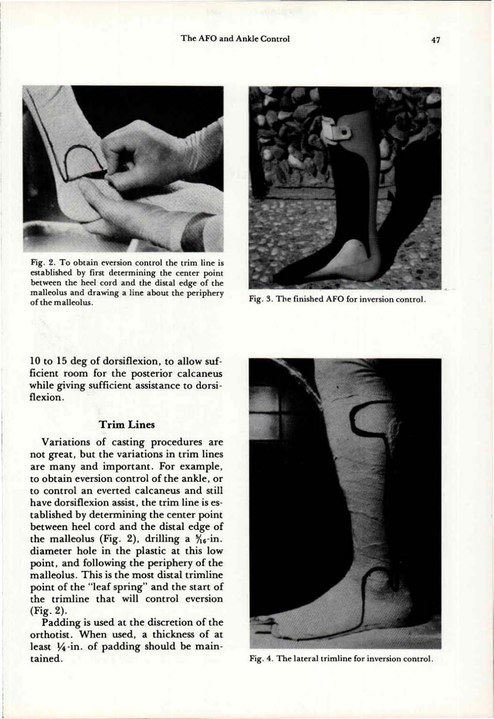

**Fig. 2. To obtain eversion control the trim line is established by first determining the center point between the heel cord and the distal edge of the malleolus and drawing a line about the periphery of the malleolus.** 



**Fig. 3. The finished AFO for inversion control.** 

10 to 15 deg of dorsiflexion, to allow sufficient room for the posterior calcaneus while giving sufficient assistance to dorsiflexion.

#### **Trim Lines**

Variations of casting procedures are not great, but the variations in trim lines are many and important. For example, to obtain eversion control of the ankle, or to control an everted calcaneus and still have dorsiflexion assist, the trim line is established by determining the center point between heel cord and the distal edge of the malleolus (Fig. 2), drilling a  $\frac{5}{16}$ -in. diameter hole in the plastic at this low point, and following the periphery of the malleolus. This is the most distal trimline point of the "leaf spring" and the start of the trimline that will control eversion (Fig. 2).

Padding is used at the discretion of the orthotist. When used, a thickness of at least  $1/4$ -in. of padding should be maintained.



**Fig. 4. The lateral trimline for inversion control.**